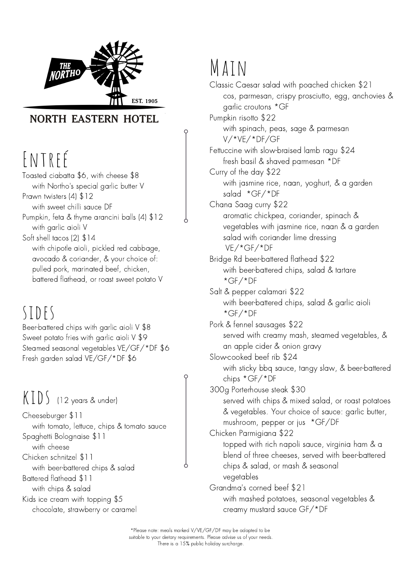

### **NORTH EASTERN HOTEL**

# ENTREÉ

Classic Caesar salad with poached chicken \$21 cos, parmesan, crispy prosciutto, egg, anchovies & garlic croutons \*GF Pumpkin risotto \$22 with spinach, peas, sage & parmesan V/\*VE/\*DF/GF Fettuccine with slow-braised lamb ragu \$24 fresh basil & shaved parmesan \*DF Curry of the day \$22 with jasmine rice, naan, yoghurt, & a garden salad \*GF/\*DF Chana Saag curry \$22 aromatic chickpea, coriander, spinach & vegetables with jasmine rice, naan & a garden salad with coriander lime dressing VE/\*GF/\*DF Bridge Rd beer-battered flathead \$22 with beer-battered chips, salad & tartare \*GF/\*DF Salt & pepper calamari \$22 with beer-battered chips, salad & garlic aioli \*GF/\*DF Pork & fennel sausages \$22 served with creamy mash, steamed vegetables, & an apple cider & onion gravy Slow-cooked beef rib \$24 with sticky bbq sauce, tangy slaw, & beer-battered chips \*GF/\*DF 300g Porterhouse steak \$30 served with chips & mixed salad, or roast potatoes & vegetables. Your choice of sauce: garlic butter, mushroom, pepper or jus \*GF/DF Chicken Parmigiana \$22 topped with rich napoli sauce, virginia ham & a blend of three cheeses, served with beer-battered chips & salad, or mash & seasonal vegetables Grandma s corned beef \$21 'with mashed potatoes, seasonal vegetables & creamy mustard sauce GF/\*DF

Toasted ciabatta \$6, with cheese \$8 with Northo ' s special garlic butter V Prawn twisters (4) \$12 with sweet chilli sauce DF Pumpkin, feta & thyme arancini balls (4) \$12 with garlic aioli V Soft shell tacos (2) \$14 with chipotle aioli, pickled red cabbage, avocado & coriander, & your choice of: pulled pork, marinated beef, chicken, battered flathead, or roast sweet potato V

# MAIN

\*Please note: meals marked V/VE/GF/DF may be adapted to be suitable to your dietary requirements. Please advise us of your needs. There is a 15% public holiday surcharge.

sides

Beer-battered chips with garlic aioli V \$8 Sweet potato fries with garlic aioli V \$9 Steamed seasonal vegetables VE/GF/\*DF \$6 Fresh garden salad VE/GF/\*DF \$6

Cheeseburger \$11 with tomato, lettuce, chips & tomato sauce Spaghetti Bolognaise \$11 with cheese Chicken schnitzel \$11 with beer-battered chips & salad Battered flathead \$11 with chips & salad Kids ice cream with topping \$5 chocolate, strawberry or caramel

#### kids (12 years & under)